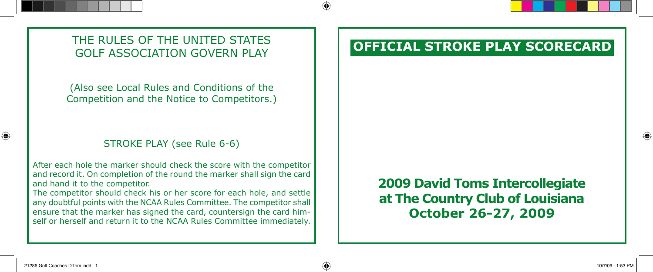THE RULES OF THE UNITED STATES **THE UNITED STATES THE UNITED STATES** GOLF ASSOCIATION GOVERN PLAY

(Also see Local Rules and Conditions of the Competition and the Notice to Competitors.)

## STROKE PLAY (see Rule 6-6)

After each hole the marker should check the score with the competitor and record it. On completion of the round the marker shall sign the card and hand it to the competitor.

The competitor should check his or her score for each hole, and settle any doubtful points with the NCAA Rules Committee. The competitor shall ensure that the marker has signed the card, countersign the card himself or herself and return it to the NCAA Rules Committee immediately.

## **2009 David Toms Intercollegiate at The Country Club of Louisiana October 26-27, 2009**

⊕

⊕